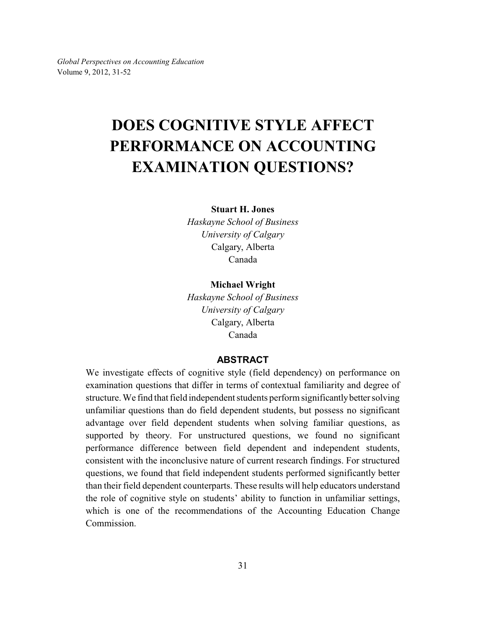*Global Perspectives on Accounting Education* Volume 9, 2012, 31-52

# **DOES COGNITIVE STYLE AFFECT PERFORMANCE ON ACCOUNTING EXAMINATION QUESTIONS?**

### **Stuart H. Jones**

*Haskayne School of Business University of Calgary* Calgary, Alberta Canada

**Michael Wright**

*Haskayne School of Business University of Calgary* Calgary, Alberta Canada

# **ABSTRACT**

We investigate effects of cognitive style (field dependency) on performance on examination questions that differ in terms of contextual familiarity and degree of structure. We find that field independent students perform significantlybetter solving unfamiliar questions than do field dependent students, but possess no significant advantage over field dependent students when solving familiar questions, as supported by theory. For unstructured questions, we found no significant performance difference between field dependent and independent students, consistent with the inconclusive nature of current research findings. For structured questions, we found that field independent students performed significantly better than their field dependent counterparts. These results will help educators understand the role of cognitive style on students' ability to function in unfamiliar settings, which is one of the recommendations of the Accounting Education Change Commission.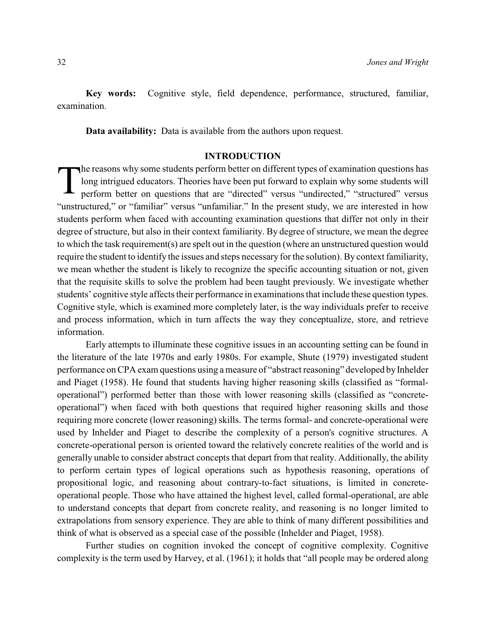**Key words:** Cognitive style, field dependence, performance, structured, familiar, examination.

**Data availability:** Data is available from the authors upon request.

### **INTRODUCTION**

T he reasons why some students perform better on different types of examination questions has long intrigued educators. Theories have been put forward to explain why some students will perform better on questions that are "directed" versus "undirected," "structured" versus "unstructured," or "familiar" versus "unfamiliar." In the present study, we are interested in how students perform when faced with accounting examination questions that differ not only in their degree of structure, but also in their context familiarity. By degree of structure, we mean the degree to which the task requirement(s) are spelt out in the question (where an unstructured question would require the student to identify the issues and steps necessary for the solution). By context familiarity, we mean whether the student is likely to recognize the specific accounting situation or not, given that the requisite skills to solve the problem had been taught previously. We investigate whether students' cognitive style affects their performance in examinations that include these question types. Cognitive style, which is examined more completely later, is the way individuals prefer to receive and process information, which in turn affects the way they conceptualize, store, and retrieve information.

Early attempts to illuminate these cognitive issues in an accounting setting can be found in the literature of the late 1970s and early 1980s. For example, Shute (1979) investigated student performance on CPA exam questions using a measure of "abstract reasoning" developed by Inhelder and Piaget (1958). He found that students having higher reasoning skills (classified as "formaloperational") performed better than those with lower reasoning skills (classified as "concreteoperational") when faced with both questions that required higher reasoning skills and those requiring more concrete (lower reasoning) skills. The terms formal- and concrete-operational were used by Inhelder and Piaget to describe the complexity of a person's cognitive structures. A concrete-operational person is oriented toward the relatively concrete realities of the world and is generally unable to consider abstract concepts that depart from that reality. Additionally, the ability to perform certain types of logical operations such as hypothesis reasoning, operations of propositional logic, and reasoning about contrary-to-fact situations, is limited in concreteoperational people. Those who have attained the highest level, called formal-operational, are able to understand concepts that depart from concrete reality, and reasoning is no longer limited to extrapolations from sensory experience. They are able to think of many different possibilities and think of what is observed as a special case of the possible (Inhelder and Piaget, 1958).

Further studies on cognition invoked the concept of cognitive complexity. Cognitive complexity is the term used by Harvey, et al. (1961); it holds that "all people may be ordered along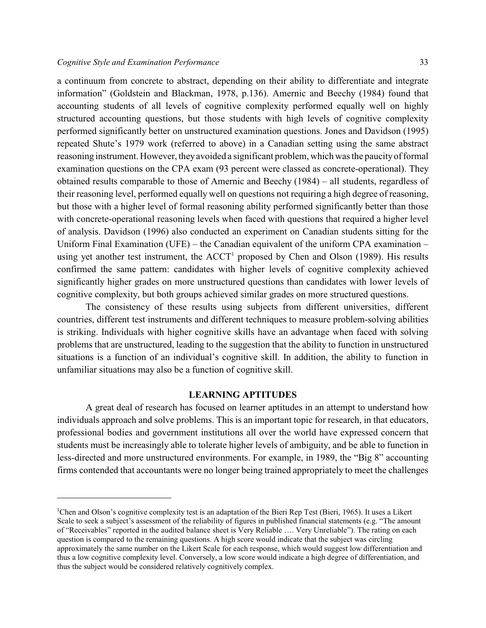a continuum from concrete to abstract, depending on their ability to differentiate and integrate information" (Goldstein and Blackman, 1978, p.136). Amernic and Beechy (1984) found that accounting students of all levels of cognitive complexity performed equally well on highly structured accounting questions, but those students with high levels of cognitive complexity performed significantly better on unstructured examination questions. Jones and Davidson (1995) repeated Shute's 1979 work (referred to above) in a Canadian setting using the same abstract reasoning instrument. However, theyavoided a significant problem, which was the paucityof formal examination questions on the CPA exam (93 percent were classed as concrete-operational). They obtained results comparable to those of Amernic and Beechy (1984) – all students, regardless of their reasoning level, performed equally well on questions not requiring a high degree of reasoning, but those with a higher level of formal reasoning ability performed significantly better than those with concrete-operational reasoning levels when faced with questions that required a higher level of analysis. Davidson (1996) also conducted an experiment on Canadian students sitting for the Uniform Final Examination (UFE) – the Canadian equivalent of the uniform CPA examination – using yet another test instrument, the  $ACCT<sup>1</sup>$  proposed by Chen and Olson (1989). His results confirmed the same pattern: candidates with higher levels of cognitive complexity achieved significantly higher grades on more unstructured questions than candidates with lower levels of cognitive complexity, but both groups achieved similar grades on more structured questions.

The consistency of these results using subjects from different universities, different countries, different test instruments and different techniques to measure problem-solving abilities is striking. Individuals with higher cognitive skills have an advantage when faced with solving problems that are unstructured, leading to the suggestion that the ability to function in unstructured situations is a function of an individual's cognitive skill. In addition, the ability to function in unfamiliar situations may also be a function of cognitive skill.

# **LEARNING APTITUDES**

A great deal of research has focused on learner aptitudes in an attempt to understand how individuals approach and solve problems. This is an important topic for research, in that educators, professional bodies and government institutions all over the world have expressed concern that students must be increasingly able to tolerate higher levels of ambiguity, and be able to function in less-directed and more unstructured environments. For example, in 1989, the "Big 8" accounting firms contended that accountants were no longer being trained appropriately to meet the challenges

<sup>&</sup>lt;sup>1</sup>Chen and Olson's cognitive complexity test is an adaptation of the Bieri Rep Test (Bieri, 1965). It uses a Likert Scale to seek a subject's assessment of the reliability of figures in published financial statements (e.g. "The amount of "Receivables" reported in the audited balance sheet is Very Reliable …. Very Unreliable"). The rating on each question is compared to the remaining questions. A high score would indicate that the subject was circling approximately the same number on the Likert Scale for each response, which would suggest low differentiation and thus a low cognitive complexity level. Conversely, a low score would indicate a high degree of differentiation, and thus the subject would be considered relatively cognitively complex.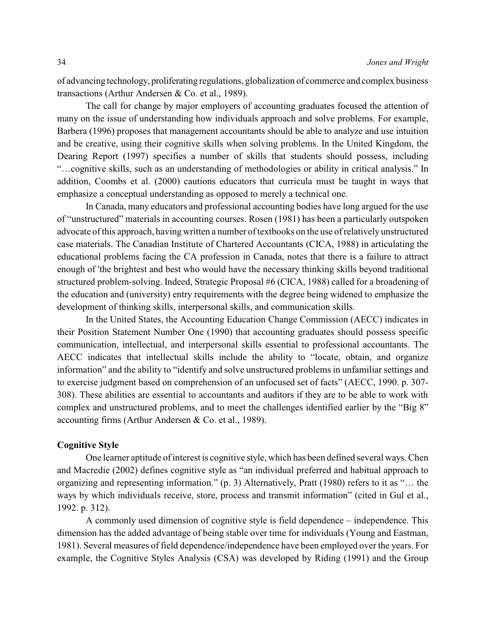of advancing technology, proliferating regulations, globalization of commerce and complex business transactions (Arthur Andersen & Co. et al., 1989).

The call for change by major employers of accounting graduates focused the attention of many on the issue of understanding how individuals approach and solve problems. For example, Barbera (1996) proposes that management accountants should be able to analyze and use intuition and be creative, using their cognitive skills when solving problems. In the United Kingdom, the Dearing Report (1997) specifies a number of skills that students should possess, including "…cognitive skills, such as an understanding of methodologies or ability in critical analysis." In addition, Coombs et al. (2000) cautions educators that curricula must be taught in ways that emphasize a conceptual understanding as opposed to merely a technical one.

In Canada, many educators and professional accounting bodies have long argued for the use of "unstructured" materials in accounting courses. Rosen (1981) has been a particularly outspoken advocate of this approach, having written a number of textbooks on the use of relatively unstructured case materials. The Canadian Institute of Chartered Accountants (CICA, 1988) in articulating the educational problems facing the CA profession in Canada, notes that there is a failure to attract enough of 'the brightest and best who would have the necessary thinking skills beyond traditional structured problem-solving. Indeed, Strategic Proposal #6 (CICA, 1988) called for a broadening of the education and (university) entry requirements with the degree being widened to emphasize the development of thinking skills, interpersonal skills, and communication skills.

In the United States, the Accounting Education Change Commission (AECC) indicates in their Position Statement Number One (1990) that accounting graduates should possess specific communication, intellectual, and interpersonal skills essential to professional accountants. The AECC indicates that intellectual skills include the ability to "locate, obtain, and organize information" and the ability to "identify and solve unstructured problems in unfamiliar settings and to exercise judgment based on comprehension of an unfocused set of facts" (AECC, 1990. p. 307- 308). These abilities are essential to accountants and auditors if they are to be able to work with complex and unstructured problems, and to meet the challenges identified earlier by the "Big 8" accounting firms (Arthur Andersen & Co. et al., 1989).

## **Cognitive Style**

One learner aptitude of interest is cognitive style, which has been defined several ways. Chen and Macredie (2002) defines cognitive style as "an individual preferred and habitual approach to organizing and representing information." (p. 3) Alternatively, Pratt (1980) refers to it as "… the ways by which individuals receive, store, process and transmit information" (cited in Gul et al., 1992. p. 312).

A commonly used dimension of cognitive style is field dependence – independence. This dimension has the added advantage of being stable over time for individuals (Young and Eastman, 1981). Several measures of field dependence/independence have been employed over the years. For example, the Cognitive Styles Analysis (CSA) was developed by Riding (1991) and the Group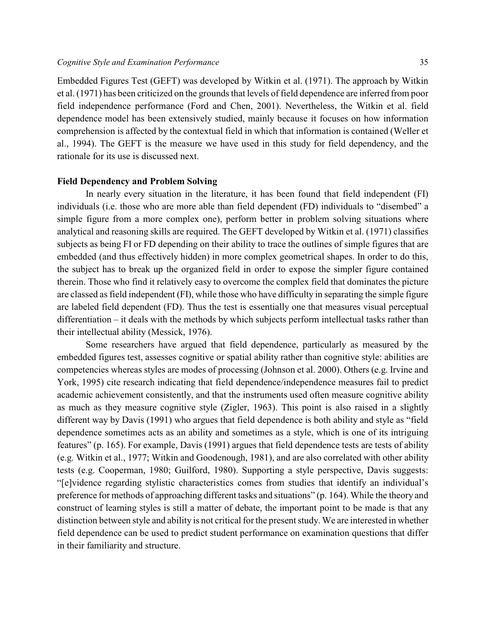Embedded Figures Test (GEFT) was developed by Witkin et al. (1971). The approach by Witkin et al. (1971) has been criticized on the grounds that levels of field dependence are inferred from poor field independence performance (Ford and Chen, 2001). Nevertheless, the Witkin et al. field dependence model has been extensively studied, mainly because it focuses on how information comprehension is affected by the contextual field in which that information is contained (Weller et al., 1994). The GEFT is the measure we have used in this study for field dependency, and the rationale for its use is discussed next.

### **Field Dependency and Problem Solving**

In nearly every situation in the literature, it has been found that field independent (FI) individuals (i.e. those who are more able than field dependent (FD) individuals to "disembed" a simple figure from a more complex one), perform better in problem solving situations where analytical and reasoning skills are required. The GEFT developed by Witkin et al. (1971) classifies subjects as being FI or FD depending on their ability to trace the outlines of simple figures that are embedded (and thus effectively hidden) in more complex geometrical shapes. In order to do this, the subject has to break up the organized field in order to expose the simpler figure contained therein. Those who find it relatively easy to overcome the complex field that dominates the picture are classed as field independent (FI), while those who have difficulty in separating the simple figure are labeled field dependent (FD). Thus the test is essentially one that measures visual perceptual differentiation – it deals with the methods by which subjects perform intellectual tasks rather than their intellectual ability (Messick, 1976).

Some researchers have argued that field dependence, particularly as measured by the embedded figures test, assesses cognitive or spatial ability rather than cognitive style: abilities are competencies whereas styles are modes of processing (Johnson et al. 2000). Others (e.g. Irvine and York, 1995) cite research indicating that field dependence/independence measures fail to predict academic achievement consistently, and that the instruments used often measure cognitive ability as much as they measure cognitive style (Zigler, 1963). This point is also raised in a slightly different way by Davis (1991) who argues that field dependence is both ability and style as "field dependence sometimes acts as an ability and sometimes as a style, which is one of its intriguing features" (p. 165). For example, Davis (1991) argues that field dependence tests are tests of ability (e.g. Witkin et al., 1977; Witkin and Goodenough, 1981), and are also correlated with other ability tests (e.g. Cooperman, 1980; Guilford, 1980). Supporting a style perspective, Davis suggests: "[e]vidence regarding stylistic characteristics comes from studies that identify an individual's preference for methods of approaching different tasks and situations" (p. 164). While the theory and construct of learning styles is still a matter of debate, the important point to be made is that any distinction between style and ability is not critical for the present study. We are interested in whether field dependence can be used to predict student performance on examination questions that differ in their familiarity and structure.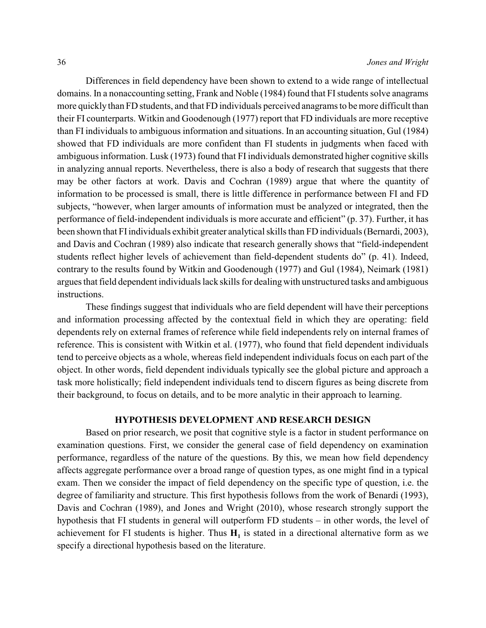Differences in field dependency have been shown to extend to a wide range of intellectual domains. In a nonaccounting setting, Frank and Noble (1984) found that FIstudents solve anagrams more quickly than FD students, and that FD individuals perceived anagrams to be more difficult than their FI counterparts. Witkin and Goodenough (1977) report that FD individuals are more receptive than FI individuals to ambiguous information and situations. In an accounting situation, Gul (1984) showed that FD individuals are more confident than FI students in judgments when faced with ambiguous information. Lusk (1973) found that FI individuals demonstrated higher cognitive skills in analyzing annual reports. Nevertheless, there is also a body of research that suggests that there may be other factors at work. Davis and Cochran (1989) argue that where the quantity of information to be processed is small, there is little difference in performance between FI and FD subjects, "however, when larger amounts of information must be analyzed or integrated, then the performance of field-independent individuals is more accurate and efficient" (p. 37). Further, it has been shown that FI individuals exhibit greater analytical skills than FD individuals (Bernardi, 2003), and Davis and Cochran (1989) also indicate that research generally shows that "field-independent students reflect higher levels of achievement than field-dependent students do" (p. 41). Indeed, contrary to the results found by Witkin and Goodenough (1977) and Gul (1984), Neimark (1981) argues that field dependent individuals lack skills for dealingwith unstructured tasks and ambiguous instructions.

These findings suggest that individuals who are field dependent will have their perceptions and information processing affected by the contextual field in which they are operating: field dependents rely on external frames of reference while field independents rely on internal frames of reference. This is consistent with Witkin et al. (1977), who found that field dependent individuals tend to perceive objects as a whole, whereas field independent individuals focus on each part of the object. In other words, field dependent individuals typically see the global picture and approach a task more holistically; field independent individuals tend to discern figures as being discrete from their background, to focus on details, and to be more analytic in their approach to learning.

# **HYPOTHESIS DEVELOPMENT AND RESEARCH DESIGN**

Based on prior research, we posit that cognitive style is a factor in student performance on examination questions. First, we consider the general case of field dependency on examination performance, regardless of the nature of the questions. By this, we mean how field dependency affects aggregate performance over a broad range of question types, as one might find in a typical exam. Then we consider the impact of field dependency on the specific type of question, i.e. the degree of familiarity and structure. This first hypothesis follows from the work of Benardi (1993), Davis and Cochran (1989), and Jones and Wright (2010), whose research strongly support the hypothesis that FI students in general will outperform FD students – in other words, the level of achievement for FI students is higher. Thus  $H_1$  is stated in a directional alternative form as we specify a directional hypothesis based on the literature.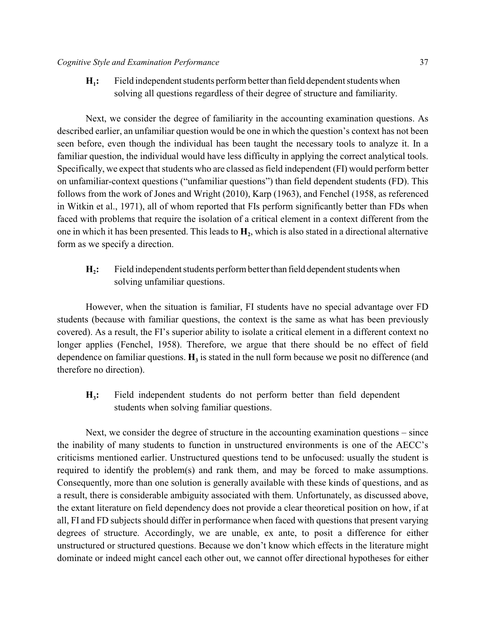$H_i$ : **:** Field independent students perform betterthan field dependent students when solving all questions regardless of their degree of structure and familiarity.

Next, we consider the degree of familiarity in the accounting examination questions. As described earlier, an unfamiliar question would be one in which the question's context has not been seen before, even though the individual has been taught the necessary tools to analyze it. In a familiar question, the individual would have less difficulty in applying the correct analytical tools. Specifically, we expect that students who are classed as field independent (FI) would perform better on unfamiliar-context questions ("unfamiliar questions") than field dependent students (FD). This follows from the work of Jones and Wright (2010), Karp (1963), and Fenchel (1958, as referenced in Witkin et al., 1971), all of whom reported that FIs perform significantly better than FDs when faced with problems that require the isolation of a critical element in a context different from the one in which it has been presented. This leads to  $\mathbf{H}_2$ , which is also stated in a directional alternative form as we specify a direction.

 $H<sub>2</sub>$ : **:** Field independent students perform better than field dependent students when solving unfamiliar questions.

However, when the situation is familiar, FI students have no special advantage over FD students (because with familiar questions, the context is the same as what has been previously covered). As a result, the FI's superior ability to isolate a critical element in a different context no longer applies (Fenchel, 1958). Therefore, we argue that there should be no effect of field dependence on familiar questions.  $H_3$  is stated in the null form because we posit no difference (and therefore no direction).

 $H<sub>3</sub>$ : **:** Field independent students do not perform better than field dependent students when solving familiar questions.

Next, we consider the degree of structure in the accounting examination questions – since the inability of many students to function in unstructured environments is one of the AECC's criticisms mentioned earlier. Unstructured questions tend to be unfocused: usually the student is required to identify the problem(s) and rank them, and may be forced to make assumptions. Consequently, more than one solution is generally available with these kinds of questions, and as a result, there is considerable ambiguity associated with them. Unfortunately, as discussed above, the extant literature on field dependency does not provide a clear theoretical position on how, if at all, FI and FD subjects should differ in performance when faced with questions that present varying degrees of structure. Accordingly, we are unable, ex ante, to posit a difference for either unstructured or structured questions. Because we don't know which effects in the literature might dominate or indeed might cancel each other out, we cannot offer directional hypotheses for either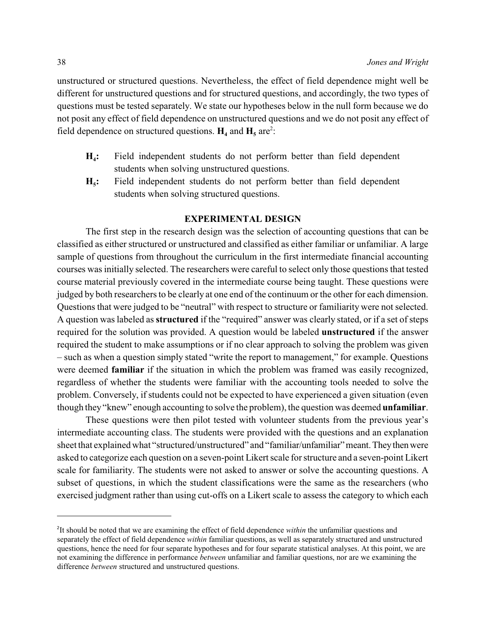unstructured or structured questions. Nevertheless, the effect of field dependence might well be different for unstructured questions and for structured questions, and accordingly, the two types of questions must be tested separately. We state our hypotheses below in the null form because we do not posit any effect of field dependence on unstructured questions and we do not posit any effect of field dependence on structured questions.  $H_4$  and  $H_5$  are<sup>2</sup>:

- $H_4$ : **:** Field independent students do not perform better than field dependent students when solving unstructured questions.
- **H<sub>5</sub>**: **:** Field independent students do not perform better than field dependent students when solving structured questions.

# **EXPERIMENTAL DESIGN**

The first step in the research design was the selection of accounting questions that can be classified as either structured or unstructured and classified as either familiar or unfamiliar. A large sample of questions from throughout the curriculum in the first intermediate financial accounting courses was initially selected. The researchers were careful to select only those questions that tested course material previously covered in the intermediate course being taught. These questions were judged by both researchers to be clearly at one end of the continuum or the other for each dimension. Questions that were judged to be "neutral" with respect to structure or familiarity were not selected. A question was labeled as **structured** if the "required" answer was clearly stated, or if a set of steps required for the solution was provided. A question would be labeled **unstructured** if the answer required the student to make assumptions or if no clear approach to solving the problem was given – such as when a question simply stated "write the report to management," for example. Questions were deemed **familiar** if the situation in which the problem was framed was easily recognized, regardless of whether the students were familiar with the accounting tools needed to solve the problem. Conversely, if students could not be expected to have experienced a given situation (even though they "knew" enough accounting to solve the problem), the question was deemed **unfamiliar**.

These questions were then pilot tested with volunteer students from the previous year's intermediate accounting class. The students were provided with the questions and an explanation sheet that explained what "structured/unstructured" and "familiar/unfamiliar" meant. They then were asked to categorize each question on a seven-point Likert scale for structure and a seven-point Likert scale for familiarity. The students were not asked to answer or solve the accounting questions. A subset of questions, in which the student classifications were the same as the researchers (who exercised judgment rather than using cut-offs on a Likert scale to assess the category to which each

<sup>&</sup>lt;sup>2</sup>It should be noted that we are examining the effect of field dependence *within* the unfamiliar questions and separately the effect of field dependence *within* familiar questions, as well as separately structured and unstructured questions, hence the need for four separate hypotheses and for four separate statistical analyses. At this point, we are not examining the difference in performance *between* unfamiliar and familiar questions, nor are we examining the difference *between* structured and unstructured questions.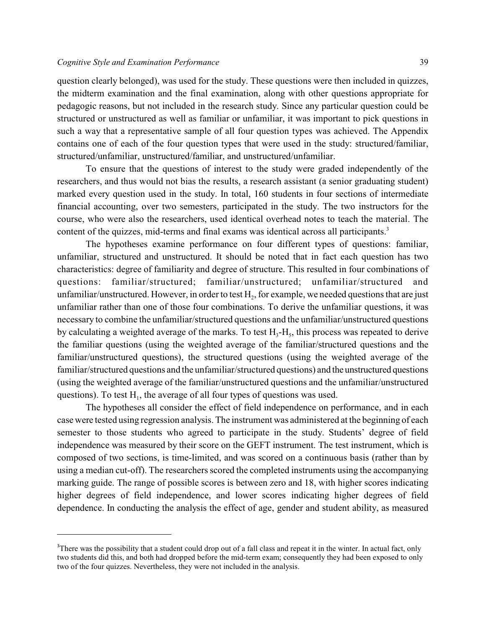question clearly belonged), was used for the study. These questions were then included in quizzes, the midterm examination and the final examination, along with other questions appropriate for pedagogic reasons, but not included in the research study. Since any particular question could be structured or unstructured as well as familiar or unfamiliar, it was important to pick questions in such a way that a representative sample of all four question types was achieved. The Appendix contains one of each of the four question types that were used in the study: structured/familiar, structured/unfamiliar, unstructured/familiar, and unstructured/unfamiliar.

To ensure that the questions of interest to the study were graded independently of the researchers, and thus would not bias the results, a research assistant (a senior graduating student) marked every question used in the study. In total, 160 students in four sections of intermediate financial accounting, over two semesters, participated in the study. The two instructors for the course, who were also the researchers, used identical overhead notes to teach the material. The content of the quizzes, mid-terms and final exams was identical across all participants.<sup>3</sup>

The hypotheses examine performance on four different types of questions: familiar, unfamiliar, structured and unstructured. It should be noted that in fact each question has two characteristics: degree of familiarity and degree of structure. This resulted in four combinations of questions: familiar/structured; familiar/unstructured; unfamiliar/structured and unfamiliar/unstructured. However, in order to test  $\rm H_2$ , for example, we needed questions that are just unfamiliar rather than one of those four combinations. To derive the unfamiliar questions, it was necessary to combine the unfamiliar/structured questions and the unfamiliar/unstructured questions by calculating a weighted average of the marks. To test  $H_3$ - $H_5$ , this process was repeated to derive the familiar questions (using the weighted average of the familiar/structured questions and the familiar/unstructured questions), the structured questions (using the weighted average of the familiar/structured questions and the unfamiliar/structured questions) and the unstructured questions (using the weighted average of the familiar/unstructured questions and the unfamiliar/unstructured questions). To test  $H_1$ , the average of all four types of questions was used.

The hypotheses all consider the effect of field independence on performance, and in each case were tested using regression analysis. The instrument was administered at the beginning of each semester to those students who agreed to participate in the study. Students' degree of field independence was measured by their score on the GEFT instrument. The test instrument, which is composed of two sections, is time-limited, and was scored on a continuous basis (rather than by using a median cut-off). The researchers scored the completed instruments using the accompanying marking guide. The range of possible scores is between zero and 18, with higher scores indicating higher degrees of field independence, and lower scores indicating higher degrees of field dependence. In conducting the analysis the effect of age, gender and student ability, as measured

<sup>&</sup>lt;sup>3</sup>There was the possibility that a student could drop out of a fall class and repeat it in the winter. In actual fact, only two students did this, and both had dropped before the mid-term exam; consequently they had been exposed to only two of the four quizzes. Nevertheless, they were not included in the analysis.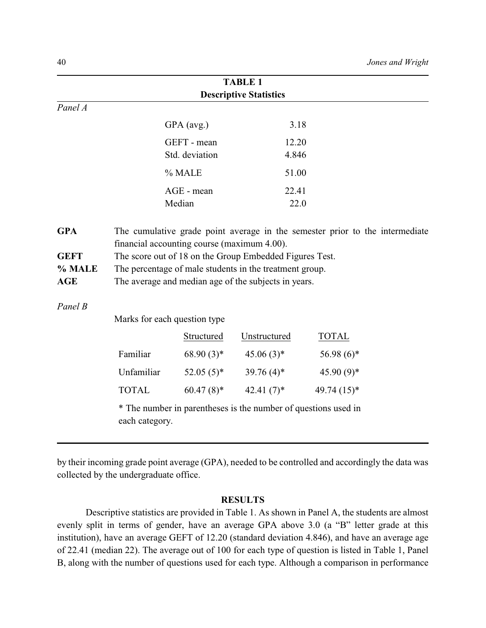|                                     |                                                                                                                                                                                                                           |                              | <b>TABLE 1</b>                                                 |              |  |  |  |  |
|-------------------------------------|---------------------------------------------------------------------------------------------------------------------------------------------------------------------------------------------------------------------------|------------------------------|----------------------------------------------------------------|--------------|--|--|--|--|
|                                     | <b>Descriptive Statistics</b>                                                                                                                                                                                             |                              |                                                                |              |  |  |  |  |
| Panel A                             |                                                                                                                                                                                                                           |                              |                                                                |              |  |  |  |  |
|                                     |                                                                                                                                                                                                                           | GPA (avg.)                   | 3.18                                                           |              |  |  |  |  |
|                                     |                                                                                                                                                                                                                           | GEFT - mean                  | 12.20                                                          |              |  |  |  |  |
|                                     |                                                                                                                                                                                                                           | Std. deviation               | 4.846                                                          |              |  |  |  |  |
|                                     |                                                                                                                                                                                                                           | % MALE                       | 51.00                                                          |              |  |  |  |  |
|                                     |                                                                                                                                                                                                                           | AGE - mean                   | 22.41                                                          |              |  |  |  |  |
|                                     |                                                                                                                                                                                                                           | Median                       | 22.0                                                           |              |  |  |  |  |
| <b>GEFT</b><br>% MALE<br><b>AGE</b> | financial accounting course (maximum 4.00).<br>The score out of 18 on the Group Embedded Figures Test.<br>The percentage of male students in the treatment group.<br>The average and median age of the subjects in years. |                              |                                                                |              |  |  |  |  |
| Panel B                             |                                                                                                                                                                                                                           | Marks for each question type |                                                                |              |  |  |  |  |
|                                     |                                                                                                                                                                                                                           | Structured                   | Unstructured                                                   | <b>TOTAL</b> |  |  |  |  |
|                                     | Familiar                                                                                                                                                                                                                  | $68.90(3)*$                  | $45.06(3)$ *                                                   | $56.98(6)$ * |  |  |  |  |
|                                     | Unfamiliar                                                                                                                                                                                                                | $52.05(5)^*$                 | 39.76 $(4)$ <sup>*</sup>                                       | $45.90(9)*$  |  |  |  |  |
|                                     | <b>TOTAL</b>                                                                                                                                                                                                              | $60.47(8)$ *                 | 42.41 $(7)$ *                                                  | 49.74 (15)*  |  |  |  |  |
|                                     | each category.                                                                                                                                                                                                            |                              | * The number in parentheses is the number of questions used in |              |  |  |  |  |

by their incoming grade point average (GPA), needed to be controlled and accordingly the data was collected by the undergraduate office.

### **RESULTS**

Descriptive statistics are provided in Table 1. As shown in Panel A, the students are almost evenly split in terms of gender, have an average GPA above 3.0 (a "B" letter grade at this institution), have an average GEFT of 12.20 (standard deviation 4.846), and have an average age of 22.41 (median 22). The average out of 100 for each type of question is listed in Table 1, Panel B, along with the number of questions used for each type. Although a comparison in performance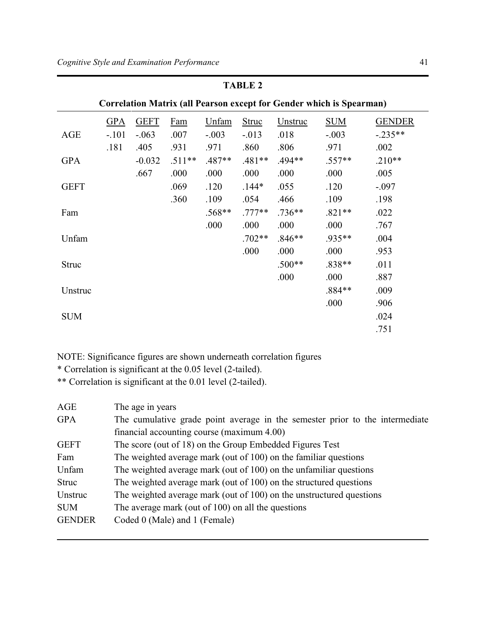| <b>Correlation Matrix (all Pearson except for Gender which is Spearman)</b> |            |             |          |          |          |          |            |               |
|-----------------------------------------------------------------------------|------------|-------------|----------|----------|----------|----------|------------|---------------|
|                                                                             | <b>GPA</b> | <b>GEFT</b> | Fam      | Unfam    | Struc    | Unstruc  | <b>SUM</b> | <b>GENDER</b> |
| <b>AGE</b>                                                                  | $-.101$    | $-.063$     | .007     | $-.003$  | $-.013$  | .018     | $-.003$    | $-.235**$     |
|                                                                             | .181       | .405        | .931     | .971     | .860     | .806     | .971       | .002          |
| <b>GPA</b>                                                                  |            | $-0.032$    | $.511**$ | $.487**$ | $.481**$ | .494**   | $.557**$   | $.210**$      |
|                                                                             |            | .667        | .000     | .000     | .000     | .000     | .000       | .005          |
| <b>GEFT</b>                                                                 |            |             | .069     | .120     | $.144*$  | .055     | .120       | $-.097$       |
|                                                                             |            |             | .360     | .109     | .054     | .466     | .109       | .198          |
| Fam                                                                         |            |             |          | $.568**$ | $.777**$ | $.736**$ | $.821**$   | .022          |
|                                                                             |            |             |          | .000     | .000     | .000     | .000       | .767          |
| Unfam                                                                       |            |             |          |          | $.702**$ | $.846**$ | $.935**$   | .004          |
|                                                                             |            |             |          |          | .000     | .000     | .000       | .953          |
| <b>Struc</b>                                                                |            |             |          |          |          | $.500**$ | $.838**$   | .011          |
|                                                                             |            |             |          |          |          | .000     | .000       | .887          |
| Unstruc                                                                     |            |             |          |          |          |          | $.884**$   | .009          |
|                                                                             |            |             |          |          |          |          | .000       | .906          |
| <b>SUM</b>                                                                  |            |             |          |          |          |          |            | .024          |
|                                                                             |            |             |          |          |          |          |            | .751          |

# **TABLE 2**

NOTE: Significance figures are shown underneath correlation figures

\* Correlation is significant at the 0.05 level (2-tailed).

\*\* Correlation is significant at the 0.01 level (2-tailed).

| AGE           | The age in years                                                             |
|---------------|------------------------------------------------------------------------------|
| <b>GPA</b>    | The cumulative grade point average in the semester prior to the intermediate |
|               | financial accounting course (maximum 4.00)                                   |
| <b>GEFT</b>   | The score (out of 18) on the Group Embedded Figures Test                     |
| Fam           | The weighted average mark (out of 100) on the familiar questions             |
| Unfam         | The weighted average mark (out of 100) on the unfamiliar questions           |
| <b>Struc</b>  | The weighted average mark (out of 100) on the structured questions           |
| Unstruc       | The weighted average mark (out of 100) on the unstructured questions         |
| <b>SUM</b>    | The average mark (out of 100) on all the questions                           |
| <b>GENDER</b> | Coded 0 (Male) and 1 (Female)                                                |
|               |                                                                              |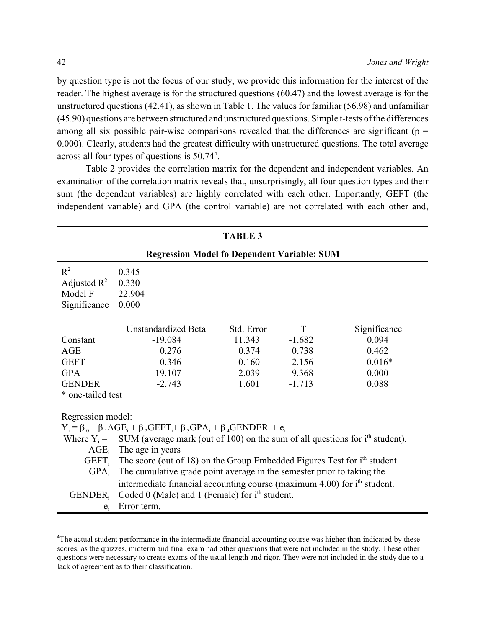by question type is not the focus of our study, we provide this information for the interest of the reader. The highest average is for the structured questions (60.47) and the lowest average is for the unstructured questions (42.41), as shown in Table 1. The values for familiar (56.98) and unfamiliar (45.90) questions are between structured and unstructured questions. Simple t-tests of the differences among all six possible pair-wise comparisons revealed that the differences are significant ( $p =$ 0.000). Clearly, students had the greatest difficulty with unstructured questions. The total average across all four types of questions is 50.74<sup>4</sup>.

Table 2 provides the correlation matrix for the dependent and independent variables. An examination of the correlation matrix reveals that, unsurprisingly, all four question types and their sum (the dependent variables) are highly correlated with each other. Importantly, GEFT (the independent variable) and GPA (the control variable) are not correlated with each other and,

| <b>TABLE 3</b>          |                                                                                                        |                      |                  |                       |  |  |
|-------------------------|--------------------------------------------------------------------------------------------------------|----------------------|------------------|-----------------------|--|--|
|                         | <b>Regression Model fo Dependent Variable: SUM</b>                                                     |                      |                  |                       |  |  |
| $R^2$                   | 0.345                                                                                                  |                      |                  |                       |  |  |
| Adjusted $\mathbb{R}^2$ | 0.330                                                                                                  |                      |                  |                       |  |  |
| Model F                 | 22.904                                                                                                 |                      |                  |                       |  |  |
| Significance            | 0.000                                                                                                  |                      |                  |                       |  |  |
|                         |                                                                                                        |                      |                  |                       |  |  |
| Constant                | Unstandardized Beta<br>$-19.084$                                                                       | Std. Error<br>11.343 | $rac{1}{-1.682}$ | Significance<br>0.094 |  |  |
|                         | 0.276                                                                                                  |                      | 0.738            | 0.462                 |  |  |
| AGE                     |                                                                                                        | 0.374                |                  |                       |  |  |
| <b>GEFT</b>             | 0.346                                                                                                  | 0.160                | 2.156            | $0.016*$              |  |  |
| <b>GPA</b>              | 19.107                                                                                                 | 2.039                | 9.368            | 0.000                 |  |  |
| <b>GENDER</b>           | $-2.743$                                                                                               | 1.601                | $-1.713$         | 0.088                 |  |  |
| * one-tailed test       |                                                                                                        |                      |                  |                       |  |  |
| Regression model:       |                                                                                                        |                      |                  |                       |  |  |
|                         | $Y_i = \beta_0 + \beta_1 AGE_i + \beta_2 GEFT_i + \beta_3 GPA_i + \beta_4 GENDER_i + e_i$              |                      |                  |                       |  |  |
|                         | Where $Y_i$ = SUM (average mark (out of 100) on the sum of all questions for i <sup>th</sup> student). |                      |                  |                       |  |  |
|                         | $\overline{AGE}$ , The age in years                                                                    |                      |                  |                       |  |  |
| GEFT <sub>i</sub>       | The score (out of 18) on the Group Embedded Figures Test for i <sup>th</sup> student.                  |                      |                  |                       |  |  |
| GPA <sub>i</sub>        | The cumulative grade point average in the semester prior to taking the                                 |                      |                  |                       |  |  |
|                         | intermediate financial accounting course (maximum 4.00) for i <sup>th</sup> student.                   |                      |                  |                       |  |  |
| <b>GENDER</b>           | Coded $0$ (Male) and $1$ (Female) for $ith$ student.                                                   |                      |                  |                       |  |  |
| $e_i$                   | Error term.                                                                                            |                      |                  |                       |  |  |

<sup>&</sup>lt;sup>4</sup>The actual student performance in the intermediate financial accounting course was higher than indicated by these scores, as the quizzes, midterm and final exam had other questions that were not included in the study. These other questions were necessary to create exams of the usual length and rigor. They were not included in the study due to a lack of agreement as to their classification.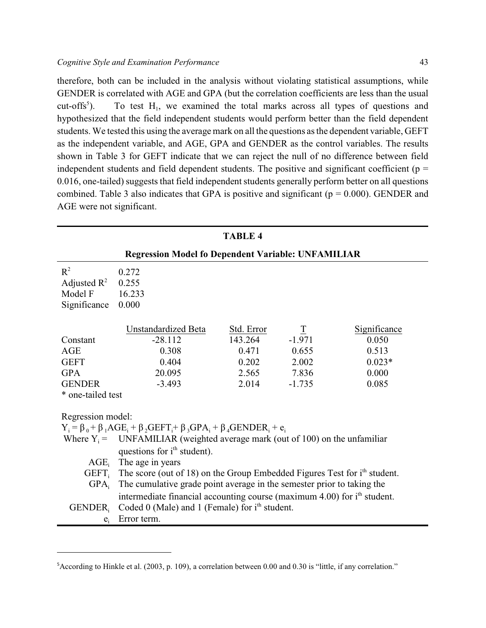therefore, both can be included in the analysis without violating statistical assumptions, while GENDER is correlated with AGE and GPA (but the correlation coefficients are less than the usual cut-offs<sup>5</sup>). To test  $H_1$ , we examined the total marks across all types of questions and  $cut-offs<sup>5</sup>$ ). hypothesized that the field independent students would perform better than the field dependent students. We tested this using the average mark on all the questions as the dependent variable, GEFT as the independent variable, and AGE, GPA and GENDER as the control variables. The results shown in Table 3 for GEFT indicate that we can reject the null of no difference between field independent students and field dependent students. The positive and significant coefficient ( $p =$ 0.016, one-tailed) suggests that field independent students generally perform better on all questions combined. Table 3 also indicates that GPA is positive and significant ( $p = 0.000$ ). GENDER and AGE were not significant.

| <b>TABLE 4</b>    |                                                                                           |            |                    |              |  |  |  |
|-------------------|-------------------------------------------------------------------------------------------|------------|--------------------|--------------|--|--|--|
|                   | <b>Regression Model fo Dependent Variable: UNFAMILIAR</b>                                 |            |                    |              |  |  |  |
| $R^2$             | 0.272                                                                                     |            |                    |              |  |  |  |
| Adjusted $R^2$    | 0.255                                                                                     |            |                    |              |  |  |  |
| Model F           | 16.233                                                                                    |            |                    |              |  |  |  |
| Significance      | 0.000                                                                                     |            |                    |              |  |  |  |
|                   | Unstandardized Beta                                                                       | Std. Error | $\overline{\perp}$ | Significance |  |  |  |
| Constant          | $-28.112$                                                                                 | 143.264    | $-1.971$           | 0.050        |  |  |  |
| AGE               | 0.308                                                                                     | 0.471      | 0.655              | 0.513        |  |  |  |
| <b>GEFT</b>       | 0.404                                                                                     | 0.202      | 2.002              | $0.023*$     |  |  |  |
| <b>GPA</b>        | 20.095                                                                                    | 2.565      | 7.836              | 0.000        |  |  |  |
| <b>GENDER</b>     | $-3.493$                                                                                  | 2.014      | $-1.735$           | 0.085        |  |  |  |
| * one-tailed test |                                                                                           |            |                    |              |  |  |  |
| Regression model: |                                                                                           |            |                    |              |  |  |  |
|                   | $Y_i = \beta_0 + \beta_1 AGE_i + \beta_2 GEFT_i + \beta_3 GPA_i + \beta_4 GENDER_i + e_i$ |            |                    |              |  |  |  |
|                   | Where $Y_i$ = UNFAMILIAR (weighted average mark (out of 100) on the unfamiliar            |            |                    |              |  |  |  |
|                   | questions for i <sup>th</sup> student).                                                   |            |                    |              |  |  |  |
|                   | $\text{AGE}_i$ The age in years                                                           |            |                    |              |  |  |  |
| GEFT <sub>i</sub> | The score (out of 18) on the Group Embedded Figures Test for i <sup>th</sup> student.     |            |                    |              |  |  |  |
| $GPA_i$           | The cumulative grade point average in the semester prior to taking the                    |            |                    |              |  |  |  |
|                   | intermediate financial accounting course (maximum 4.00) for i <sup>th</sup> student.      |            |                    |              |  |  |  |
| <b>GENDER.</b>    | Coded 0 (Male) and 1 (Female) for i <sup>th</sup> student.                                |            |                    |              |  |  |  |
| $e_i$             | Error term.                                                                               |            |                    |              |  |  |  |

 ${}^5$ According to Hinkle et al. (2003, p. 109), a correlation between 0.00 and 0.30 is "little, if any correlation."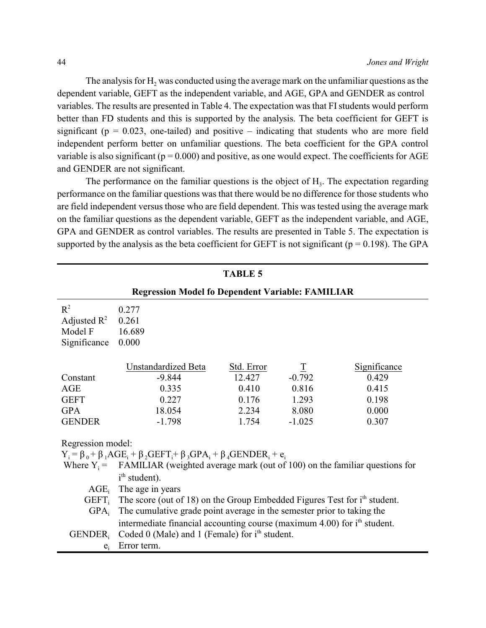The analysis for  $H_2$  was conducted using the average mark on the unfamiliar questions as the dependent variable, GEFT as the independent variable, and AGE, GPA and GENDER as control variables. The results are presented in Table 4. The expectation was that FIstudents would perform better than FD students and this is supported by the analysis. The beta coefficient for GEFT is significant ( $p = 0.023$ , one-tailed) and positive – indicating that students who are more field independent perform better on unfamiliar questions. The beta coefficient for the GPA control variable is also significant ( $p = 0.000$ ) and positive, as one would expect. The coefficients for AGE and GENDER are not significant.

The performance on the familiar questions is the object of  $H_3$ . The expectation regarding performance on the familiar questions was that there would be no difference for those students who are field independent versus those who are field dependent. This was tested using the average mark on the familiar questions as the dependent variable, GEFT as the independent variable, and AGE, GPA and GENDER as control variables. The results are presented in Table 5. The expectation is supported by the analysis as the beta coefficient for GEFT is not significant ( $p = 0.198$ ). The GPA

| <b>TABLE 5</b>          |                                                                                           |            |                |              |  |
|-------------------------|-------------------------------------------------------------------------------------------|------------|----------------|--------------|--|
|                         | <b>Regression Model fo Dependent Variable: FAMILIAR</b>                                   |            |                |              |  |
| $R^2$                   | 0.277                                                                                     |            |                |              |  |
| Adjusted $\mathbb{R}^2$ | 0.261                                                                                     |            |                |              |  |
| Model F                 | 16.689                                                                                    |            |                |              |  |
| Significance            | 0.000                                                                                     |            |                |              |  |
|                         | Unstandardized Beta                                                                       | Std. Error | $\overline{1}$ | Significance |  |
| Constant                | $-9.844$                                                                                  | 12.427     | $-0.792$       | 0.429        |  |
| AGE                     | 0.335                                                                                     | 0.410      | 0.816          | 0.415        |  |
| <b>GEFT</b>             | 0.227                                                                                     | 0.176      | 1.293          | 0.198        |  |
| <b>GPA</b>              | 18.054                                                                                    | 2.234      | 8.080          | 0.000        |  |
| <b>GENDER</b>           | $-1.798$                                                                                  | 1.754      | $-1.025$       | 0.307        |  |
| Regression model:       |                                                                                           |            |                |              |  |
|                         | $Y_i = \beta_0 + \beta_1 AGE_i + \beta_2 GEFT_i + \beta_3 GPA_i + \beta_4 GENDER_i + e_i$ |            |                |              |  |
| Where $Y_i =$           | FAMILIAR (weighted average mark (out of 100) on the familiar questions for                |            |                |              |  |
|                         | i <sup>th</sup> student).                                                                 |            |                |              |  |
| AGE <sub>i</sub>        | The age in years                                                                          |            |                |              |  |
| GEFT,                   | The score (out of 18) on the Group Embedded Figures Test for i <sup>th</sup> student.     |            |                |              |  |
| $GPA_i$                 | The cumulative grade point average in the semester prior to taking the                    |            |                |              |  |
|                         | intermediate financial accounting course (maximum 4.00) for i <sup>th</sup> student.      |            |                |              |  |
| <b>GENDER</b>           | Coded 0 (Male) and 1 (Female) for $ith$ student.                                          |            |                |              |  |
| $e_i$                   | Error term.                                                                               |            |                |              |  |
|                         |                                                                                           |            |                |              |  |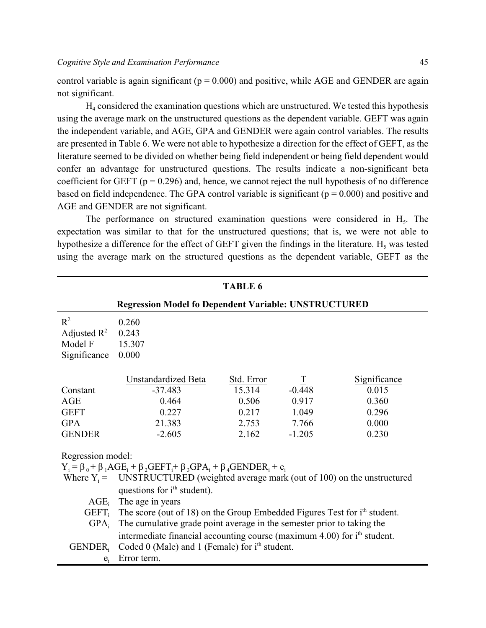control variable is again significant ( $p = 0.000$ ) and positive, while AGE and GENDER are again not significant.

 $H_4$  considered the examination questions which are unstructured. We tested this hypothesis using the average mark on the unstructured questions as the dependent variable. GEFT was again the independent variable, and AGE, GPA and GENDER were again control variables. The results are presented in Table 6. We were not able to hypothesize a direction for the effect of GEFT, as the literature seemed to be divided on whether being field independent or being field dependent would confer an advantage for unstructured questions. The results indicate a non-significant beta coefficient for GEFT ( $p = 0.296$ ) and, hence, we cannot reject the null hypothesis of no difference based on field independence. The GPA control variable is significant ( $p = 0.000$ ) and positive and AGE and GENDER are not significant.

The performance on structured examination questions were considered in  $H<sub>5</sub>$ . The expectation was similar to that for the unstructured questions; that is, we were not able to hypothesize a difference for the effect of GEFT given the findings in the literature.  $H_5$  was tested using the average mark on the structured questions as the dependent variable, GEFT as the

| TABLE 6                 |                                                                                           |            |                    |              |  |
|-------------------------|-------------------------------------------------------------------------------------------|------------|--------------------|--------------|--|
|                         | <b>Regression Model fo Dependent Variable: UNSTRUCTURED</b>                               |            |                    |              |  |
| $R^2$                   | 0.260                                                                                     |            |                    |              |  |
| Adjusted $\mathbb{R}^2$ | 0.243                                                                                     |            |                    |              |  |
| Model F                 | 15.307                                                                                    |            |                    |              |  |
| Significance            | 0.000                                                                                     |            |                    |              |  |
|                         | Unstandardized Beta                                                                       | Std. Error | $\overline{\perp}$ | Significance |  |
| Constant                | $-37.483$                                                                                 | 15.314     | $-0.448$           | 0.015        |  |
| AGE                     | 0.464                                                                                     | 0.506      | 0.917              | 0.360        |  |
| <b>GEFT</b>             | 0.227                                                                                     | 0.217      | 1.049              | 0.296        |  |
| <b>GPA</b>              | 21.383                                                                                    | 2.753      | 7.766              | 0.000        |  |
| <b>GENDER</b>           | $-2.605$                                                                                  | 2.162      | $-1.205$           | 0.230        |  |
| Regression model:       |                                                                                           |            |                    |              |  |
|                         | $Y_i = \beta_0 + \beta_1 AGE_i + \beta_2 GEFT_i + \beta_3 GPA_i + \beta_4 GENDER_i + e_i$ |            |                    |              |  |
|                         | Where $Y_i$ = UNSTRUCTURED (weighted average mark (out of 100) on the unstructured        |            |                    |              |  |
|                         | questions for i <sup>th</sup> student).                                                   |            |                    |              |  |
| $AGE_i$                 | The age in years                                                                          |            |                    |              |  |
| GEFT <sub>i</sub>       | The score (out of 18) on the Group Embedded Figures Test for i <sup>th</sup> student.     |            |                    |              |  |
| $GPA_i$                 | The cumulative grade point average in the semester prior to taking the                    |            |                    |              |  |
|                         | intermediate financial accounting course (maximum 4.00) for i <sup>th</sup> student.      |            |                    |              |  |
| GENDER,                 | Coded 0 (Male) and 1 (Female) for $ith$ student.                                          |            |                    |              |  |
| $e_i$                   | Error term.                                                                               |            |                    |              |  |
|                         |                                                                                           |            |                    |              |  |

 $T$ **ABLE**  $\epsilon$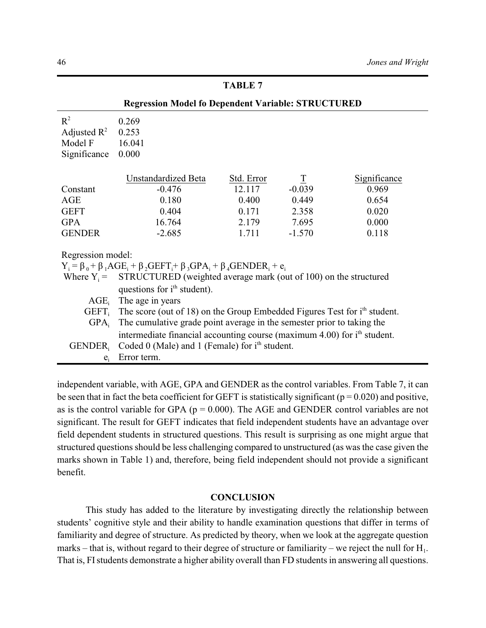| <b>Regression Model fo Dependent Variable: STRUCTURED</b> |                                                                                           |                                 |                          |                     |  |  |  |
|-----------------------------------------------------------|-------------------------------------------------------------------------------------------|---------------------------------|--------------------------|---------------------|--|--|--|
| $R^2$                                                     | 0.269                                                                                     |                                 |                          |                     |  |  |  |
| Adjusted $\mathbb{R}^2$                                   | 0.253                                                                                     |                                 |                          |                     |  |  |  |
| Model F                                                   | 16.041                                                                                    |                                 |                          |                     |  |  |  |
| Significance                                              | 0.000                                                                                     |                                 |                          |                     |  |  |  |
|                                                           | Unstandardized Beta                                                                       | Std. Error                      | $\overline{\mathcal{I}}$ | <b>Significance</b> |  |  |  |
| Constant                                                  | $-0.476$                                                                                  | 12.117                          | $-0.039$                 | 0.969               |  |  |  |
| AGE                                                       | 0.180                                                                                     | 0.400                           | 0.449                    | 0.654               |  |  |  |
| <b>GEFT</b>                                               | 0.404                                                                                     | 0.171                           | 2.358                    | 0.020               |  |  |  |
| <b>GPA</b>                                                | 16.764                                                                                    | 2.179                           | 7.695                    | 0.000               |  |  |  |
| <b>GENDER</b>                                             | $-2.685$                                                                                  | 1.711                           | $-1.570$                 | 0.118               |  |  |  |
| Regression model:                                         |                                                                                           |                                 |                          |                     |  |  |  |
|                                                           | $Y_i = \beta_0 + \beta_1 AGE_i + \beta_2 GEFT_i + \beta_3 GPA_i + \beta_4 GENDER_i + e_i$ |                                 |                          |                     |  |  |  |
|                                                           | Where $Y_i$ = STRUCTURED (weighted average mark (out of 100) on the structured            |                                 |                          |                     |  |  |  |
|                                                           | questions for i <sup>th</sup> student).                                                   |                                 |                          |                     |  |  |  |
|                                                           |                                                                                           | $\text{AGE}_i$ The age in years |                          |                     |  |  |  |
|                                                           | $GEFT_i$ The score (out of 18) on the Group Embedded Figures Test for $ith$ student.      |                                 |                          |                     |  |  |  |
| $GPA_i$                                                   | The cumulative grade point average in the semester prior to taking the                    |                                 |                          |                     |  |  |  |
|                                                           | intermediate financial accounting course (maximum 4.00) for i <sup>th</sup> student.      |                                 |                          |                     |  |  |  |
| <b>GENDER</b>                                             | Coded $0$ (Male) and 1 (Female) for $ith$ student.                                        |                                 |                          |                     |  |  |  |
| $e_i$                                                     | Error term.                                                                               |                                 |                          |                     |  |  |  |
|                                                           |                                                                                           |                                 |                          |                     |  |  |  |

independent variable, with AGE, GPA and GENDER as the control variables. From Table 7, it can be seen that in fact the beta coefficient for GEFT is statistically significant ( $p = 0.020$ ) and positive, as is the control variable for GPA ( $p = 0.000$ ). The AGE and GENDER control variables are not significant. The result for GEFT indicates that field independent students have an advantage over field dependent students in structured questions. This result is surprising as one might argue that structured questions should be less challenging compared to unstructured (as was the case given the marks shown in Table 1) and, therefore, being field independent should not provide a significant benefit.

### **CONCLUSION**

This study has added to the literature by investigating directly the relationship between students' cognitive style and their ability to handle examination questions that differ in terms of familiarity and degree of structure. As predicted by theory, when we look at the aggregate question marks – that is, without regard to their degree of structure or familiarity – we reject the null for  $H_1$ . That is, FIstudents demonstrate a higher ability overall than FD students in answering all questions.

# **TABLE 7**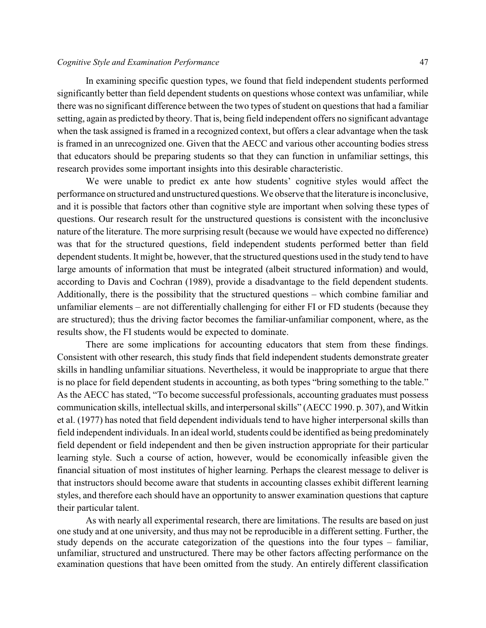#### *Cognitive Style and Examination Performance* 47

In examining specific question types, we found that field independent students performed significantly better than field dependent students on questions whose context was unfamiliar, while there was no significant difference between the two types of student on questions that had a familiar setting, again as predicted by theory. That is, being field independent offers no significant advantage when the task assigned is framed in a recognized context, but offers a clear advantage when the task is framed in an unrecognized one. Given that the AECC and various other accounting bodies stress that educators should be preparing students so that they can function in unfamiliar settings, this research provides some important insights into this desirable characteristic.

We were unable to predict ex ante how students' cognitive styles would affect the performance on structured and unstructured questions. We observe that the literature is inconclusive, and it is possible that factors other than cognitive style are important when solving these types of questions. Our research result for the unstructured questions is consistent with the inconclusive nature of the literature. The more surprising result (because we would have expected no difference) was that for the structured questions, field independent students performed better than field dependent students. It might be, however, that the structured questions used in the study tend to have large amounts of information that must be integrated (albeit structured information) and would, according to Davis and Cochran (1989), provide a disadvantage to the field dependent students. Additionally, there is the possibility that the structured questions – which combine familiar and unfamiliar elements – are not differentially challenging for either FI or FD students (because they are structured); thus the driving factor becomes the familiar-unfamiliar component, where, as the results show, the FI students would be expected to dominate.

There are some implications for accounting educators that stem from these findings. Consistent with other research, this study finds that field independent students demonstrate greater skills in handling unfamiliar situations. Nevertheless, it would be inappropriate to argue that there is no place for field dependent students in accounting, as both types "bring something to the table." As the AECC has stated, "To become successful professionals, accounting graduates must possess communication skills, intellectual skills, and interpersonal skills" (AECC 1990. p. 307), and Witkin et al. (1977) has noted that field dependent individuals tend to have higher interpersonal skills than field independent individuals. In an ideal world, students could be identified as being predominately field dependent or field independent and then be given instruction appropriate for their particular learning style. Such a course of action, however, would be economically infeasible given the financial situation of most institutes of higher learning. Perhaps the clearest message to deliver is that instructors should become aware that students in accounting classes exhibit different learning styles, and therefore each should have an opportunity to answer examination questions that capture their particular talent.

As with nearly all experimental research, there are limitations. The results are based on just one study and at one university, and thus may not be reproducible in a different setting. Further, the study depends on the accurate categorization of the questions into the four types – familiar, unfamiliar, structured and unstructured. There may be other factors affecting performance on the examination questions that have been omitted from the study. An entirely different classification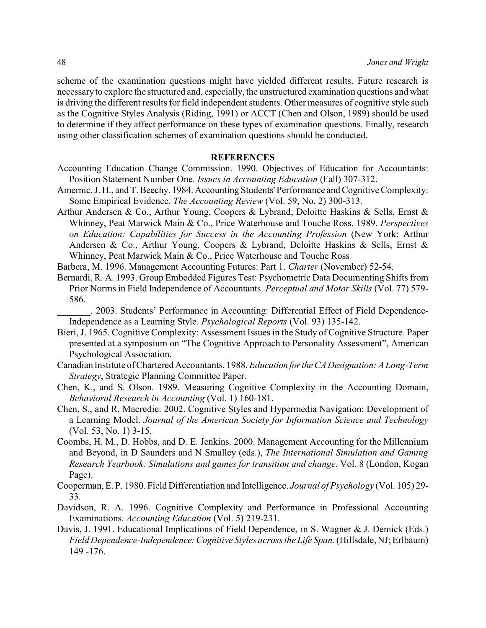scheme of the examination questions might have yielded different results. Future research is necessaryto explore the structured and, especially, the unstructured examination questions and what is driving the different results for field independent students. Other measures of cognitive style such as the Cognitive Styles Analysis (Riding, 1991) or ACCT (Chen and Olson, 1989) should be used to determine if they affect performance on these types of examination questions. Finally, research using other classification schemes of examination questions should be conducted.

#### **REFERENCES**

- Accounting Education Change Commission. 1990. Objectives of Education for Accountants: Position Statement Number One. *Issues in Accounting Education* (Fall) 307-312.
- Amernic, J. H., and T. Beechy. 1984. Accounting Students' Performance and Cognitive Complexity: Some Empirical Evidence. *The Accounting Review* (Vol. 59, No. 2) 300-313.
- Arthur Andersen & Co., Arthur Young, Coopers & Lybrand, Deloitte Haskins & Sells, Ernst & Whinney, Peat Marwick Main & Co., Price Waterhouse and Touche Ross. 1989. *Perspectives on Education: Capabilities for Success in the Accounting Profession* (New York: Arthur Andersen & Co., Arthur Young, Coopers & Lybrand, Deloitte Haskins & Sells, Ernst & Whinney, Peat Marwick Main & Co., Price Waterhouse and Touche Ross
- Barbera, M. 1996. Management Accounting Futures: Part 1. *Charter* (November) 52-54.
- Bernardi, R. A. 1993. Group Embedded Figures Test: Psychometric Data Documenting Shifts from Prior Norms in Field Independence of Accountants. *Perceptual and Motor Skills* (Vol. 77) 579- 586.
	- \_\_\_\_\_\_\_. 2003. Students' Performance in Accounting: Differential Effect of Field Dependence-Independence as a Learning Style. *Psychological Reports* (Vol. 93) 135-142.
- Bieri, J. 1965. Cognitive Complexity: Assessment Issues in the Study of Cognitive Structure. Paper presented at a symposium on "The Cognitive Approach to Personality Assessment", American Psychological Association.
- Canadian Institute of Chartered Accountants. 1988. *Education fortheCADesignation: A Long-Term Strategy*, Strategic Planning Committee Paper.
- Chen, K., and S. Olson. 1989. Measuring Cognitive Complexity in the Accounting Domain, *Behavioral Research in Accounting* (Vol. 1) 160-181.
- Chen, S., and R. Macredie. 2002. Cognitive Styles and Hypermedia Navigation: Development of a Learning Model. *Journal of the American Society for Information Science and Technology* (Vol. 53, No. 1) 3-15.
- Coombs, H. M., D. Hobbs, and D. E. Jenkins. 2000. Management Accounting for the Millennium and Beyond, in D Saunders and N Smalley (eds.), *The International Simulation and Gaming Research Yearbook: Simulations and games for transition and change*. Vol. 8 (London, Kogan Page).
- Cooperman, E. P. 1980. Field Differentiation and Intelligence. *Journal of Psychology* (Vol. 105) 29- 33.
- Davidson, R. A. 1996. Cognitive Complexity and Performance in Professional Accounting Examinations. *Accounting Education* (Vol. 5) 219-231.
- Davis, J. 1991. Educational Implications of Field Dependence, in S. Wagner & J. Demick (Eds.) *Field Dependence-Independence:Cognitive Styles across the Life Span*. (Hillsdale, NJ; Erlbaum) 149 -176.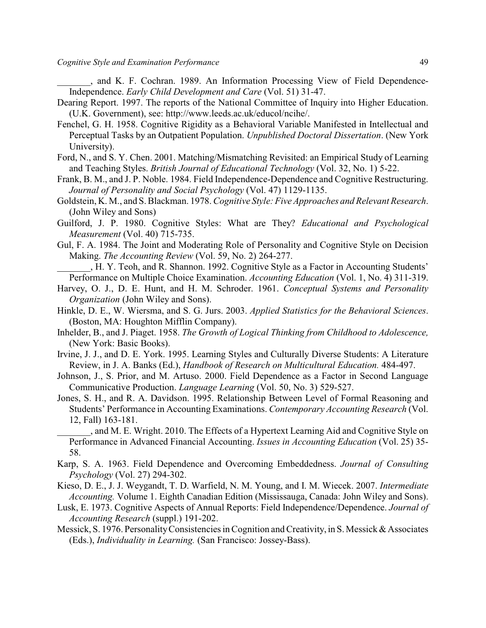\_\_\_\_\_\_\_, and K. F. Cochran. 1989. An Information Processing View of Field Dependence-Independence. *Early Child Development and Care* (Vol. 51) 31-47.

- Dearing Report. 1997. The reports of the National Committee of Inquiry into Higher Education. (U.K. Government), see: http://www.leeds.ac.uk/educol/ncihe/.
- Fenchel, G. H. 1958. Cognitive Rigidity as a Behavioral Variable Manifested in Intellectual and Perceptual Tasks by an Outpatient Population. *Unpublished Doctoral Dissertation*. (New York University).
- Ford, N., and S. Y. Chen. 2001. Matching/Mismatching Revisited: an Empirical Study of Learning and Teaching Styles. *British Journal of Educational Technology* (Vol. 32, No. 1) 5-22.
- Frank, B. M., and J. P. Noble. 1984. Field Independence-Dependence and Cognitive Restructuring. *Journal of Personality and Social Psychology* (Vol. 47) 1129-1135.
- Goldstein, K. M., and S. Blackman. 1978. *Cognitive Style: Five Approaches and Relevant Research*. (John Wiley and Sons)
- Guilford, J. P. 1980. Cognitive Styles: What are They? *Educational and Psychological Measurement* (Vol. 40) 715-735.
- Gul, F. A. 1984. The Joint and Moderating Role of Personality and Cognitive Style on Decision Making. *The Accounting Review* (Vol. 59, No. 2) 264-277.

\_\_\_\_\_\_\_, H. Y. Teoh, and R. Shannon. 1992. Cognitive Style as a Factor in Accounting Students' Performance on Multiple Choice Examination. *Accounting Education* (Vol. 1, No. 4) 311-319.

- Harvey, O. J., D. E. Hunt, and H. M. Schroder. 1961. *Conceptual Systems and Personality Organization* (John Wiley and Sons).
- Hinkle, D. E., W. Wiersma, and S. G. Jurs. 2003. *Applied Statistics for the Behavioral Sciences*. (Boston, MA: Houghton Mifflin Company).
- Inhelder, B., and J. Piaget. 1958. *The Growth of Logical Thinking from Childhood to Adolescence,* (New York: Basic Books).
- Irvine, J. J., and D. E. York. 1995. Learning Styles and Culturally Diverse Students: A Literature Review, in J. A. Banks (Ed.), *Handbook of Research on Multicultural Education.* 484-497.
- Johnson, J., S. Prior, and M. Artuso. 2000. Field Dependence as a Factor in Second Language Communicative Production. *Language Learning* (Vol. 50, No. 3) 529-527.
- Jones, S. H., and R. A. Davidson. 1995. Relationship Between Level of Formal Reasoning and Students' Performance in Accounting Examinations. *Contemporary Accounting Research* (Vol. 12, Fall) 163-181.

\_\_\_\_\_\_\_, and M. E. Wright. 2010. The Effects of a Hypertext Learning Aid and Cognitive Style on Performance in Advanced Financial Accounting. *Issues in Accounting Education* (Vol. 25) 35- 58.

- Karp, S. A. 1963. Field Dependence and Overcoming Embeddedness. *Journal of Consulting Psychology* (Vol. 27) 294-302.
- Kieso, D. E., J. J. Weygandt, T. D. Warfield, N. M. Young, and I. M. Wiecek. 2007. *Intermediate Accounting.* Volume 1. Eighth Canadian Edition (Mississauga, Canada: John Wiley and Sons).
- Lusk, E. 1973. Cognitive Aspects of Annual Reports: Field Independence/Dependence. *Journal of Accounting Research* (suppl.) 191-202.
- Messick, S. 1976. PersonalityConsistencies in Cognition and Creativity, in S. Messick & Associates (Eds.), *Individuality in Learning.* (San Francisco: Jossey-Bass).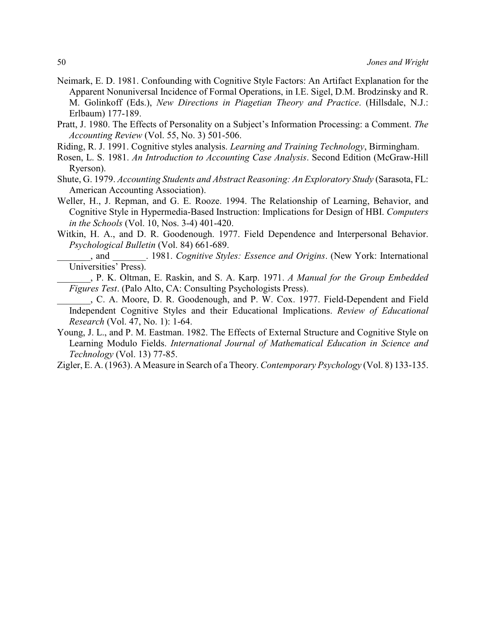- Neimark, E. D. 1981. Confounding with Cognitive Style Factors: An Artifact Explanation for the Apparent Nonuniversal Incidence of Formal Operations, in I.E. Sigel, D.M. Brodzinsky and R. M. Golinkoff (Eds.), *New Directions in Piagetian Theory and Practice*. (Hillsdale, N.J.: Erlbaum) 177-189.
- Pratt, J. 1980. The Effects of Personality on a Subject's Information Processing: a Comment. *The Accounting Review* (Vol. 55, No. 3) 501-506.
- Riding, R. J. 1991. Cognitive styles analysis. *Learning and Training Technology*, Birmingham.
- Rosen, L. S. 1981. *An Introduction to Accounting Case Analysis*. Second Edition (McGraw-Hill Ryerson).
- Shute, G. 1979. *Accounting Students and Abstract Reasoning: An Exploratory Study* (Sarasota, FL: American Accounting Association).
- Weller, H., J. Repman, and G. E. Rooze. 1994. The Relationship of Learning, Behavior, and Cognitive Style in Hypermedia-Based Instruction: Implications for Design of HBI. *Computers in the Schools* (Vol. 10, Nos. 3-4) 401-420.
- Witkin, H. A., and D. R. Goodenough. 1977. Field Dependence and Interpersonal Behavior. *Psychological Bulletin* (Vol. 84) 661-689.
	- \_\_\_\_\_\_\_, and \_\_\_\_\_\_\_. 1981. *Cognitive Styles: Essence and Origins*. (New York: International Universities' Press).
	- \_\_\_\_\_\_\_, P. K. Oltman, E. Raskin, and S. A. Karp. 1971. *A Manual for the Group Embedded Figures Test*. (Palo Alto, CA: Consulting Psychologists Press).
- \_\_\_\_\_\_\_, C. A. Moore, D. R. Goodenough, and P. W. Cox. 1977. Field-Dependent and Field Independent Cognitive Styles and their Educational Implications. *Review of Educational Research* (Vol. 47, No. 1): 1-64.
- Young, J. L., and P. M. Eastman. 1982. The Effects of External Structure and Cognitive Style on Learning Modulo Fields. *International Journal of Mathematical Education in Science and Technology* (Vol. 13) 77-85.
- Zigler, E. A. (1963). A Measure in Search of a Theory. *Contemporary Psychology* (Vol. 8) 133-135.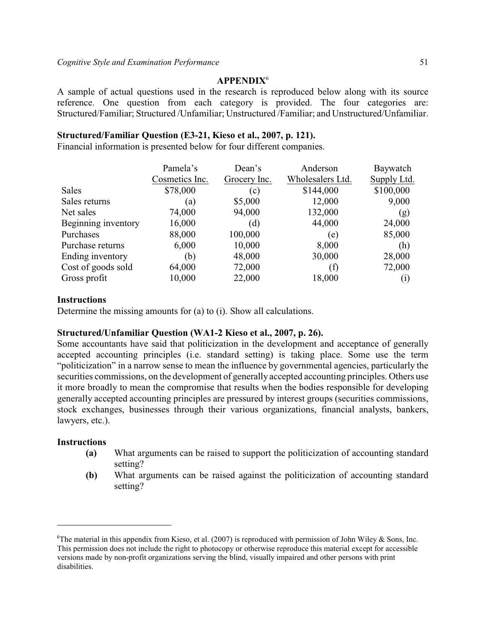# **APPENDIX**<sup>6</sup>

A sample of actual questions used in the research is reproduced below along with its source reference. One question from each category is provided. The four categories are: Structured/Familiar; Structured /Unfamiliar; Unstructured /Familiar; and Unstructured/Unfamiliar.

# **Structured/Familiar Question (E3-21, Kieso et al., 2007, p. 121).**

Financial information is presented below for four different companies.

|                     | Pamela's       | Dean's       | Anderson         | Baywatch    |
|---------------------|----------------|--------------|------------------|-------------|
|                     | Cosmetics Inc. | Grocery Inc. | Wholesalers Ltd. | Supply Ltd. |
| <b>Sales</b>        | \$78,000       | (c)          | \$144,000        | \$100,000   |
| Sales returns       | (a)            | \$5,000      | 12,000           | 9,000       |
| Net sales           | 74,000         | 94,000       | 132,000          | (g)         |
| Beginning inventory | 16,000         | (d)          | 44,000           | 24,000      |
| Purchases           | 88,000         | 100,000      | (e)              | 85,000      |
| Purchase returns    | 6,000          | 10,000       | 8,000            | (h)         |
| Ending inventory    | (b)            | 48,000       | 30,000           | 28,000      |
| Cost of goods sold  | 64,000         | 72,000       | (f)              | 72,000      |
| Gross profit        | 10,000         | 22,000       | 18,000           | $\rm(i)$    |

### **Instructions**

Determine the missing amounts for (a) to (i). Show all calculations.

### **Structured/Unfamiliar Question (WA1-2 Kieso et al., 2007, p. 26).**

Some accountants have said that politicization in the development and acceptance of generally accepted accounting principles (i.e. standard setting) is taking place. Some use the term "politicization" in a narrow sense to mean the influence by governmental agencies, particularly the securities commissions, on the development of generally accepted accounting principles. Others use it more broadly to mean the compromise that results when the bodies responsible for developing generally accepted accounting principles are pressured by interest groups (securities commissions, stock exchanges, businesses through their various organizations, financial analysts, bankers, lawyers, etc.).

### **Instructions**

- **(a)** What arguments can be raised to support the politicization of accounting standard setting?
- **(b)** What arguments can be raised against the politicization of accounting standard setting?

<sup>&</sup>lt;sup>6</sup>The material in this appendix from Kieso, et al. (2007) is reproduced with permission of John Wiley & Sons, Inc. This permission does not include the right to photocopy or otherwise reproduce this material except for accessible versions made by non-profit organizations serving the blind, visually impaired and other persons with print disabilities.